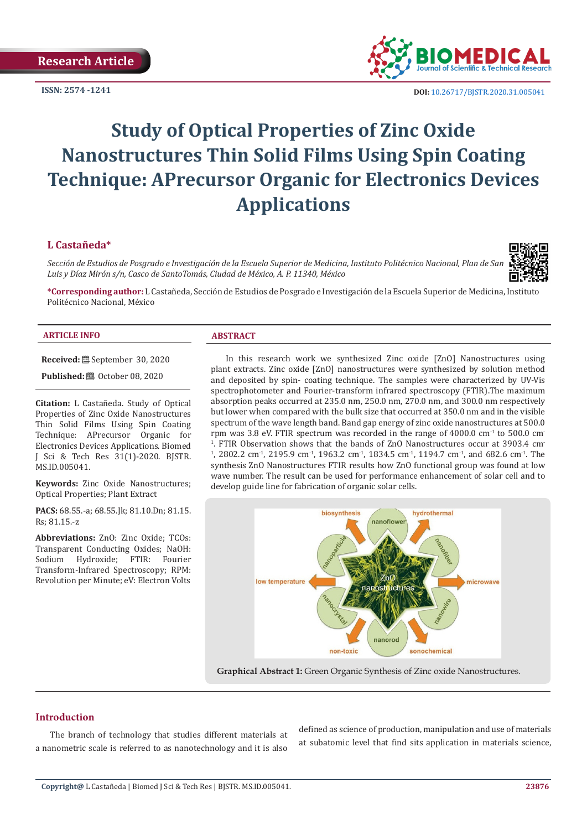**ISSN: 2574 -1241**



 **DOI:** [10.26717/BJSTR.2020.31.0050](http://dx.doi.org/10.26717/BJSTR.2020.31.005041)41

# **Study of Optical Properties of Zinc Oxide Nanostructures Thin Solid Films Using Spin Coating Technique: APrecursor Organic for Electronics Devices Applications**

# **L Castañeda\***

*Sección de Estudios de Posgrado e Investigación de la Escuela Superior de Medicina, Instituto Politécnico Nacional, Plan de San Luis y Díaz Mirón s/n, Casco de SantoTomás, Ciudad de México, A. P. 11340, México*



**\*Corresponding author:** L Castañeda, Sección de Estudios de Posgrado e Investigación de la Escuela Superior de Medicina, Instituto Politécnico Nacional, México

#### **ARTICLE INFO ABSTRACT**

**Received:** September 30, 2020

**Published:** © October 08, 2020

**Citation:** L Castañeda. Study of Optical Properties of Zinc Oxide Nanostructures Thin Solid Films Using Spin Coating Technique: APrecursor Organic for Electronics Devices Applications. Biomed J Sci & Tech Res 31(1)-2020. BJSTR. MS.ID.005041.

**Keywords:** Zinc Oxide Nanostructures; Optical Properties; Plant Extract

**PACS:** 68.55.-a; 68.55.Jk; 81.10.Dn; 81.15. Rs; 81.15.-z

**Abbreviations:** ZnO: Zinc Oxide; TCOs: Transparent Conducting Oxides; NaOH:<br>Sodium Hydroxide; FTIR: Fourier Hydroxide; FTIR: Transform-Infrared Spectroscopy; RPM: Revolution per Minute; eV: Electron Volts

In this research work we synthesized Zinc oxide [ZnO] Nanostructures using plant extracts. Zinc oxide [ZnO] nanostructures were synthesized by solution method and deposited by spin- coating technique. The samples were characterized by UV-Vis spectrophotometer and Fourier-transform infrared spectroscopy (FTIR).The maximum absorption peaks occurred at 235.0 nm, 250.0 nm, 270.0 nm, and 300.0 nm respectively but lower when compared with the bulk size that occurred at 350.0 nm and in the visible spectrum of the wave length band. Band gap energy of zinc oxide nanostructures at 500.0 rpm was 3.8 eV. FTIR spectrum was recorded in the range of  $4000.0 \text{ cm}^{-1}$  to 500.0 cm <sup>1</sup>. FTIR Observation shows that the bands of ZnO Nanostructures occur at 3903.4 cm  $1, 2802.2 \text{ cm}^3$ , 2195.9 cm<sup>-1</sup>, 1963.2 cm<sup>-1</sup>, 1834.5 cm<sup>-1</sup>, 1194.7 cm<sup>-1</sup>, and 682.6 cm<sup>-1</sup>. The synthesis ZnO Nanostructures FTIR results how ZnO functional group was found at low wave number. The result can be used for performance enhancement of solar cell and to develop guide line for fabrication of organic solar cells.



**Graphical Abstract 1:** Green Organic Synthesis of Zinc oxide Nanostructures.

# **Introduction**

The branch of technology that studies different materials at a nanometric scale is referred to as nanotechnology and it is also

defined as science of production, manipulation and use of materials at subatomic level that find sits application in materials science,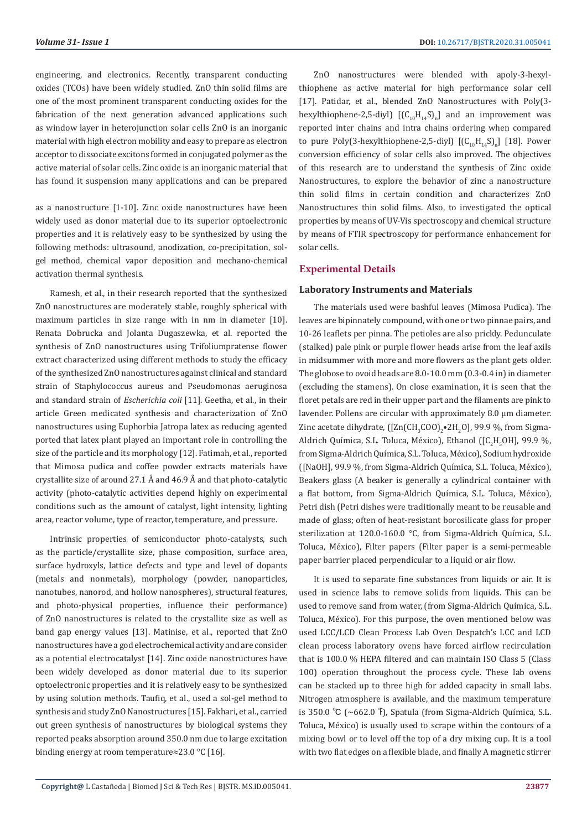engineering, and electronics. Recently, transparent conducting oxides (TCOs) have been widely studied. ZnO thin solid films are one of the most prominent transparent conducting oxides for the fabrication of the next generation advanced applications such as window layer in heterojunction solar cells ZnO is an inorganic material with high electron mobility and easy to prepare as electron acceptor to dissociate excitons formed in conjugated polymer as the active material of solar cells. Zinc oxide is an inorganic material that has found it suspension many applications and can be prepared

as a nanostructure [1-10]. Zinc oxide nanostructures have been widely used as donor material due to its superior optoelectronic properties and it is relatively easy to be synthesized by using the following methods: ultrasound, anodization, co-precipitation, solgel method, chemical vapor deposition and mechano-chemical activation thermal synthesis.

Ramesh, et al., in their research reported that the synthesized ZnO nanostructures are moderately stable, roughly spherical with maximum particles in size range with in nm in diameter [10]. Renata Dobrucka and Jolanta Dugaszewka, et al. reported the synthesis of ZnO nanostructures using Trifoliumpratense flower extract characterized using different methods to study the efficacy of the synthesized ZnO nanostructures against clinical and standard strain of Staphylococcus aureus and Pseudomonas aeruginosa and standard strain of *Escherichia coli* [11]. Geetha, et al., in their article Green medicated synthesis and characterization of ZnO nanostructures using Euphorbia Jatropa latex as reducing agented ported that latex plant played an important role in controlling the size of the particle and its morphology [12]. Fatimah, et al., reported that Mimosa pudica and coffee powder extracts materials have crystallite size of around 27.1 Å and 46.9 Å and that photo-catalytic activity (photo-catalytic activities depend highly on experimental conditions such as the amount of catalyst, light intensity, lighting area, reactor volume, type of reactor, temperature, and pressure.

Intrinsic properties of semiconductor photo-catalysts, such as the particle/crystallite size, phase composition, surface area, surface hydroxyls, lattice defects and type and level of dopants (metals and nonmetals), morphology (powder, nanoparticles, nanotubes, nanorod, and hollow nanospheres), structural features, and photo-physical properties, influence their performance) of ZnO nanostructures is related to the crystallite size as well as band gap energy values [13]. Matinise, et al., reported that ZnO nanostructures have a god electrochemical activity and are consider as a potential electrocatalyst [14]. Zinc oxide nanostructures have been widely developed as donor material due to its superior optoelectronic properties and it is relatively easy to be synthesized by using solution methods. Taufiq, et al., used a sol-gel method to synthesis and study ZnO Nanostructures [15]. Fakhari, et al., carried out green synthesis of nanostructures by biological systems they reported peaks absorption around 350.0 nm due to large excitation binding energy at room temperature≈23.0 °C [16].

ZnO nanostructures were blended with apoly-3-hexylthiophene as active material for high performance solar cell [17]. Patidar, et al., blended ZnO Nanostructures with Poly(3 hexylthiophene-2,5-diyl)  $[(C_{10}H_{14}S)_{n}]$  and an improvement was reported inter chains and intra chains ordering when compared to pure Poly(3-hexylthiophene-2,5-diyl)  $[(C_{10}H_{14}S)_{n}]$  [18]. Power conversion efficiency of solar cells also improved. The objectives of this research are to understand the synthesis of Zinc oxide Nanostructures, to explore the behavior of zinc a nanostructure thin solid films in certain condition and characterizes ZnO Nanostructures thin solid films. Also, to investigated the optical properties by means of UV-Vis spectroscopy and chemical structure by means of FTIR spectroscopy for performance enhancement for solar cells.

# **Experimental Details**

#### **Laboratory Instruments and Materials**

The materials used were bashful leaves (Mimosa Pudica). The leaves are bipinnately compound, with one or two pinnae pairs, and 10-26 leaflets per pinna. The petioles are also prickly. Pedunculate (stalked) pale pink or purple flower heads arise from the leaf axils in midsummer with more and more flowers as the plant gets older. The globose to ovoid heads are 8.0-10.0 mm (0.3-0.4 in) in diameter (excluding the stamens). On close examination, it is seen that the floret petals are red in their upper part and the filaments are pink to lavender. Pollens are circular with approximately 8.0 μm diameter. Zinc acetate dihydrate,  $[[\text{Zn}(\text{CH}_3\text{COO})_2\bullet\text{ZH}_2\text{O}]$ , 99.9 %, from Sigma-Aldrich Química, S.L. Toluca, México), Ethanol ([C<sub>2</sub>H<sub>5</sub>OH], 99.9 %, from Sigma-Aldrich Química, S.L. Toluca, México), Sodium hydroxide ([NaOH], 99.9 %, from Sigma-Aldrich Química, S.L. Toluca, México), Beakers glass (A beaker is generally a cylindrical container with a flat bottom, from Sigma-Aldrich Química, S.L. Toluca, México), Petri dish (Petri dishes were traditionally meant to be reusable and made of glass; often of heat-resistant borosilicate glass for proper sterilization at 120.0-160.0 °C, from Sigma-Aldrich Química, S.L. Toluca, México), Filter papers (Filter paper is a semi-permeable paper barrier placed perpendicular to a liquid or air flow.

It is used to separate fine substances from liquids or air. It is used in science labs to remove solids from liquids. This can be used to remove sand from water, (from Sigma-Aldrich Química, S.L. Toluca, México). For this purpose, the oven mentioned below was used LCC/LCD Clean Process Lab Oven Despatch's LCC and LCD clean process laboratory ovens have forced airflow recirculation that is 100.0 % HEPA filtered and can maintain ISO Class 5 (Class 100) operation throughout the process cycle. These lab ovens can be stacked up to three high for added capacity in small labs. Nitrogen atmosphere is available, and the maximum temperature is 350.0 °C (~662.0 °F), Spatula (from Sigma-Aldrich Química, S.L. Toluca, México) is usually used to scrape within the contours of a mixing bowl or to level off the top of a dry mixing cup. It is a tool with two flat edges on a flexible blade, and finally A magnetic stirrer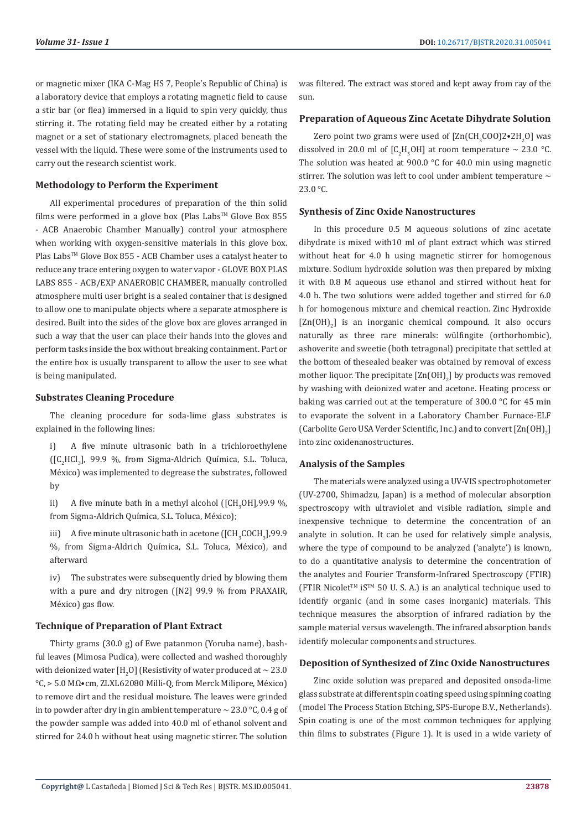or magnetic mixer (IKA C-Mag HS 7, People's Republic of China) is a laboratory device that employs a rotating magnetic field to cause a stir bar (or flea) immersed in a liquid to spin very quickly, thus stirring it. The rotating field may be created either by a rotating magnet or a set of stationary electromagnets, placed beneath the vessel with the liquid. These were some of the instruments used to carry out the research scientist work.

#### **Methodology to Perform the Experiment**

All experimental procedures of preparation of the thin solid films were performed in a glove box (Plas Labs<sup>TM</sup> Glove Box 855 - ACB Anaerobic Chamber Manually) control your atmosphere when working with oxygen-sensitive materials in this glove box. Plas Labs™ Glove Box 855 - ACB Chamber uses a catalyst heater to reduce any trace entering oxygen to water vapor - GLOVE BOX PLAS LABS 855 - ACB/EXP ANAEROBIC CHAMBER, manually controlled atmosphere multi user bright is a sealed container that is designed to allow one to manipulate objects where a separate atmosphere is desired. Built into the sides of the glove box are gloves arranged in such a way that the user can place their hands into the gloves and perform tasks inside the box without breaking containment. Part or the entire box is usually transparent to allow the user to see what is being manipulated.

#### **Substrates Cleaning Procedure**

The cleaning procedure for soda-lime glass substrates is explained in the following lines:

i) A five minute ultrasonic bath in a trichloroethylene  $\left(\begin{bmatrix} C_2 HCl_3 \end{bmatrix}, 99.9 \%$ , from Sigma-Aldrich Química, S.L. Toluca, México) was implemented to degrease the substrates, followed by

 $\mu$ ) A five minute bath in a methyl alcohol ([CH<sub>3</sub>OH],99.9 %, from Sigma-Aldrich Química, S.L. Toluca, México);

iii) A five minute ultrasonic bath in acetone ([CH<sub>3</sub>COCH<sub>3</sub>],99.9 %, from Sigma-Aldrich Química, S.L. Toluca, México), and afterward

iv) The substrates were subsequently dried by blowing them with a pure and dry nitrogen ([N2] 99.9 % from PRAXAIR, México) gas flow.

# **Technique of Preparation of Plant Extract**

Thirty grams (30.0 g) of Ewe patanmon (Yoruba name), bashful leaves (Mimosa Pudica), were collected and washed thoroughly with deionized water [H<sub>2</sub>O] (Resistivity of water produced at  $\sim$  23.0 °C, > 5.0 MΩ•cm, ZLXL62080 Milli-Q, from Merck Milipore, México) to remove dirt and the residual moisture. The leaves were grinded in to powder after dry in gin ambient temperature  $\sim 23.0$  °C, 0.4 g of the powder sample was added into 40.0 ml of ethanol solvent and stirred for 24.0 h without heat using magnetic stirrer. The solution

was filtered. The extract was stored and kept away from ray of the sun.

#### **Preparation of Aqueous Zinc Acetate Dihydrate Solution**

Zero point two grams were used of  $\text{Zn}(\text{CH}_3\text{COO})2 \cdot 2 \text{H}_2\text{O}$  was dissolved in 20.0 ml of  $[C_2H_5OH]$  at room temperature  $\sim$  23.0 °C. The solution was heated at 900.0 °C for 40.0 min using magnetic stirrer. The solution was left to cool under ambient temperature  $\sim$ 23.0 °C.

#### **Synthesis of Zinc Oxide Nanostructures**

In this procedure 0.5 M aqueous solutions of zinc acetate dihydrate is mixed with10 ml of plant extract which was stirred without heat for 4.0 h using magnetic stirrer for homogenous mixture. Sodium hydroxide solution was then prepared by mixing it with 0.8 M aqueous use ethanol and stirred without heat for 4.0 h. The two solutions were added together and stirred for 6.0 h for homogenous mixture and chemical reaction. Zinc Hydroxide  $[Zn(OH)_2]$  is an inorganic chemical compound. It also occurs naturally as three rare minerals: wülfingite (orthorhombic), ashoverite and sweetie (both tetragonal) precipitate that settled at the bottom of thesealed beaker was obtained by removal of excess mother liquor. The precipitate  $\text{[Zn(OH)}_{2}\text{]}$  by products was removed by washing with deionized water and acetone. Heating process or baking was carried out at the temperature of 300.0 °C for 45 min to evaporate the solvent in a Laboratory Chamber Furnace-ELF (Carbolite Gero USA Verder Scientific, Inc.) and to convert  $\text{[Zn(OH)}_{2}\text{]}$ into zinc oxidenanostructures.

#### **Analysis of the Samples**

The materials were analyzed using a UV-VIS spectrophotometer (UV-2700, Shimadzu, Japan) is a method of molecular absorption spectroscopy with ultraviolet and visible radiation, simple and inexpensive technique to determine the concentration of an analyte in solution. It can be used for relatively simple analysis, where the type of compound to be analyzed ('analyte') is known. to do a quantitative analysis to determine the concentration of the analytes and Fourier Transform-Infrared Spectroscopy (FTIR) (FTIR Nicolet<sup>™</sup> iS<sup>™</sup> 50 U. S. A.) is an analytical technique used to identify organic (and in some cases inorganic) materials. This technique measures the absorption of infrared radiation by the sample material versus wavelength. The infrared absorption bands identify molecular components and structures.

## **Deposition of Synthesized of Zinc Oxide Nanostructures**

Zinc oxide solution was prepared and deposited onsoda-lime glass substrate at different spin coating speed using spinning coating (model The Process Station Etching, SPS-Europe B.V., Netherlands). Spin coating is one of the most common techniques for applying thin films to substrates (Figure 1). It is used in a wide variety of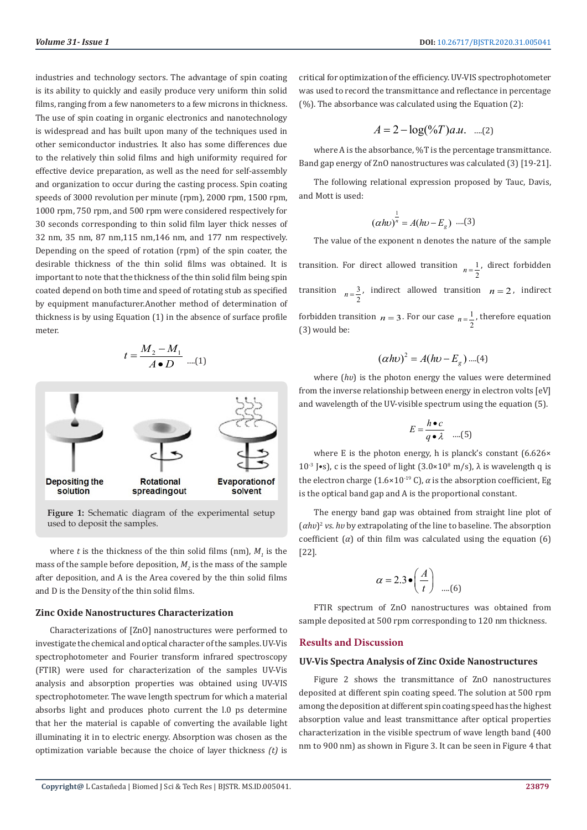industries and technology sectors. The advantage of spin coating is its ability to quickly and easily produce very uniform thin solid films, ranging from a few nanometers to a few microns in thickness. The use of spin coating in organic electronics and nanotechnology is widespread and has built upon many of the techniques used in other semiconductor industries. It also has some differences due to the relatively thin solid films and high uniformity required for effective device preparation, as well as the need for self-assembly and organization to occur during the casting process. Spin coating speeds of 3000 revolution per minute (rpm), 2000 rpm, 1500 rpm, 1000 rpm, 750 rpm, and 500 rpm were considered respectively for 30 seconds corresponding to thin solid film layer thick nesses of 32 nm, 35 nm, 87 nm,115 nm,146 nm, and 177 nm respectively. Depending on the speed of rotation (rpm) of the spin coater, the desirable thickness of the thin solid films was obtained. It is important to note that the thickness of the thin solid film being spin coated depend on both time and speed of rotating stub as specified by equipment manufacturer.Another method of determination of thickness is by using Equation (1) in the absence of surface profile meter.

$$
t = \frac{M_2 - M_1}{A \bullet D} \dots (1)
$$



**Figure 1:** Schematic diagram of the experimental setup used to deposit the samples.

where  $t$  is the thickness of the thin solid films (nm),  $M_i$  is the mass of the sample before deposition,  $M<sub>2</sub>$  is the mass of the sample after deposition, and A is the Area covered by the thin solid films and D is the Density of the thin solid films.

#### **Zinc Oxide Nanostructures Characterization**

Characterizations of [ZnO] nanostructures were performed to investigate the chemical and optical character of the samples. UV-Vis spectrophotometer and Fourier transform infrared spectroscopy (FTIR) were used for characterization of the samples UV-Vis analysis and absorption properties was obtained using UV-VIS spectrophotometer. The wave length spectrum for which a material absorbs light and produces photo current the l.0 ps determine that her the material is capable of converting the available light illuminating it in to electric energy. Absorption was chosen as the optimization variable because the choice of layer thickness *(t)* is

critical for optimization of the efficiency. UV-VIS spectrophotometer was used to record the transmittance and reflectance in percentage (%). The absorbance was calculated using the Equation (2):

$$
A = 2 - \log(°\!\!\sqrt{a}) a.u. \quad \dots (2)
$$

where A is the absorbance, %T is the percentage transmittance. Band gap energy of ZnO nanostructures was calculated (3) [19-21].

The following relational expression proposed by Tauc, Davis, and Mott is used:

$$
(αhυ)^{\frac{1}{n}} = A(hυ - E_g) \dots (3)
$$

The value of the exponent n denotes the nature of the sample

transition. For direct allowed transition  $n = \frac{1}{2}$ , direct forbidden transition  $n = \frac{3}{2}$ , indirect allowed transition  $n = 2$ , indirect forbidden transition  $n = 3$ . For our case  $n = \frac{1}{2}$ , therefore equation (3) would be:

$$
(\alpha h v)^2 = A(hv - E_g) \dots (4)
$$

where (*hv*) is the photon energy the values were determined from the inverse relationship between energy in electron volts [eV] and wavelength of the UV-visible spectrum using the equation (5).

$$
E = \frac{h \bullet c}{q \bullet \lambda} \quad ....(5)
$$

where E is the photon energy, h is planck's constant  $(6.626 \times$  $10^{-3}$  J•s), c is the speed of light (3.0×10<sup>8</sup> m/s),  $\lambda$  is wavelength q is the electron charge ( $1.6 \times 10^{-19}$  C),  $\alpha$  is the absorption coefficient, Eg is the optical band gap and A is the proportional constant.

The energy band gap was obtained from straight line plot of (*αhʋ*)2 *vs*. *hʋ* by extrapolating of the line to baseline. The absorption coefficient  $(\alpha)$  of thin film was calculated using the equation  $(6)$ [22].

$$
\alpha = 2.3 \bullet \left(\frac{A}{t}\right) \dots (6)
$$

FTIR spectrum of ZnO nanostructures was obtained from sample deposited at 500 rpm corresponding to 120 nm thickness.

#### **Results and Discussion**

#### **UV-Vis Spectra Analysis of Zinc Oxide Nanostructures**

Figure 2 shows the transmittance of ZnO nanostructures deposited at different spin coating speed. The solution at 500 rpm among the deposition at different spin coating speed has the highest absorption value and least transmittance after optical properties characterization in the visible spectrum of wave length band (400 nm to 900 nm) as shown in Figure 3. It can be seen in Figure 4 that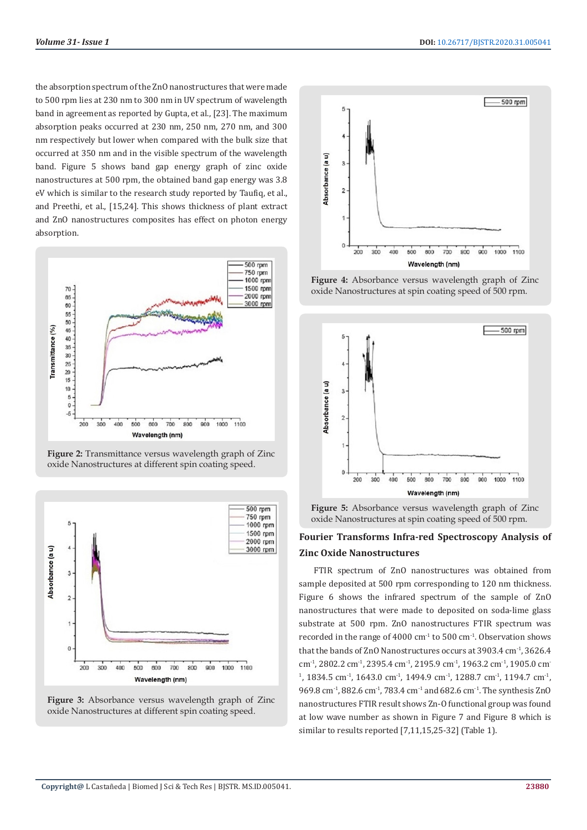the absorption spectrum of the ZnO nanostructures that were made to 500 rpm lies at 230 nm to 300 nm in UV spectrum of wavelength band in agreement as reported by Gupta, et al., [23]. The maximum absorption peaks occurred at 230 nm, 250 nm, 270 nm, and 300 nm respectively but lower when compared with the bulk size that occurred at 350 nm and in the visible spectrum of the wavelength band. Figure 5 shows band gap energy graph of zinc oxide nanostructures at 500 rpm, the obtained band gap energy was 3.8 eV which is similar to the research study reported by Taufiq, et al., and Preethi, et al., [15,24]. This shows thickness of plant extract and ZnO nanostructures composites has effect on photon energy absorption.



**Figure 2:** Transmittance versus wavelength graph of Zinc oxide Nanostructures at different spin coating speed.







**Figure 4:** Absorbance versus wavelength graph of Zinc oxide Nanostructures at spin coating speed of 500 rpm.



**Figure 5:** Absorbance versus wavelength graph of Zinc oxide Nanostructures at spin coating speed of 500 rpm.

# **Fourier Transforms Infra-red Spectroscopy Analysis of Zinc Oxide Nanostructures**

FTIR spectrum of ZnO nanostructures was obtained from sample deposited at 500 rpm corresponding to 120 nm thickness. Figure 6 shows the infrared spectrum of the sample of ZnO nanostructures that were made to deposited on soda-lime glass substrate at 500 rpm. ZnO nanostructures FTIR spectrum was recorded in the range of 4000 cm $1$  to 500 cm $1$ . Observation shows that the bands of ZnO Nanostructures occurs at 3903.4 cm<sup>-1</sup>, 3626.4 cm-1, 2802.2 cm-1, 2395.4 cm-1, 2195.9 cm-1, 1963.2 cm-1, 1905.0 cm-<sup>1</sup>, 1834.5 cm<sup>-1</sup>, 1643.0 cm<sup>-1</sup>, 1494.9 cm<sup>-1</sup>, 1288.7 cm<sup>-1</sup>, 1194.7 cm<sup>-1</sup>, 969.8 cm-1, 882.6 cm-1, 783.4 cm-1 and 682.6 cm-1. The synthesis ZnO nanostructures FTIR result shows Zn-O functional group was found at low wave number as shown in Figure 7 and Figure 8 which is similar to results reported [7,11,15,25-32] (Table 1).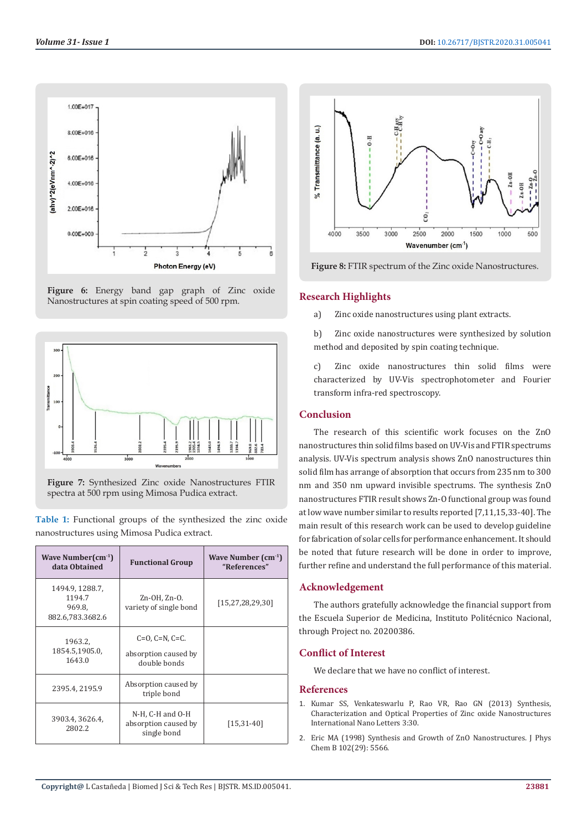







|                                             |  |  |  |  | Table 1: Functional groups of the synthesized the zinc oxide |  |  |  |
|---------------------------------------------|--|--|--|--|--------------------------------------------------------------|--|--|--|
| nanostructures using Mimosa Pudica extract. |  |  |  |  |                                                              |  |  |  |

| Wave Number $\text{cm}^{-1}$<br>data Obtained           | <b>Functional Group</b>                                         | Wave Number $(cm-1)$<br>"References" |  |  |
|---------------------------------------------------------|-----------------------------------------------------------------|--------------------------------------|--|--|
| 1494.9, 1288.7,<br>1194.7<br>969.8,<br>882.6,783.3682.6 | Zn-OH, Zn-O.<br>variety of single bond                          | [15, 27, 28, 29, 30]                 |  |  |
| 1963.2,<br>1854.5,1905.0,<br>1643.0                     | $C=0$ , $C=N$ , $C=C$ .<br>absorption caused by<br>double bonds |                                      |  |  |
| 2395.4, 2195.9                                          | Absorption caused by<br>triple bond                             |                                      |  |  |
| 3903.4, 3626.4,<br>2802.2                               | N-H, C-H and O-H<br>absorption caused by<br>single bond         |                                      |  |  |



**Figure 8:** FTIR spectrum of the Zinc oxide Nanostructures.

#### **Research Highlights**

- a) Zinc oxide nanostructures using plant extracts.
- b) Zinc oxide nanostructures were synthesized by solution method and deposited by spin coating technique.
- c) Zinc oxide nanostructures thin solid films were characterized by UV-Vis spectrophotometer and Fourier transform infra-red spectroscopy.

# **Conclusion**

The research of this scientific work focuses on the ZnO nanostructures thin solid films based on UV-Vis and FTIR spectrums analysis. UV-Vis spectrum analysis shows ZnO nanostructures thin solid film has arrange of absorption that occurs from 235 nm to 300 nm and 350 nm upward invisible spectrums. The synthesis ZnO nanostructures FTIR result shows Zn-O functional group was found at low wave number similar to results reported [7,11,15,33-40]. The main result of this research work can be used to develop guideline for fabrication of solar cells for performance enhancement. It should be noted that future research will be done in order to improve, further refine and understand the full performance of this material.

# **Acknowledgement**

The authors gratefully acknowledge the financial support from the Escuela Superior de Medicina, Instituto Politécnico Nacional, through Project no. 20200386.

#### **Conflict of Interest**

We declare that we have no conflict of interest.

#### **References**

- 1. [Kumar SS, Venkateswarlu P, Rao VR, Rao GN \(2013\) Synthesis,](https://link.springer.com/article/10.1186/2228-5326-3-30) [Characterization and Optical Properties of Zinc oxide Nanostructures](https://link.springer.com/article/10.1186/2228-5326-3-30) [International Nano Letters 3:30.](https://link.springer.com/article/10.1186/2228-5326-3-30)
- 2. [Eric MA \(1998\) Synthesis and Growth of ZnO Nanostructures. J Phys](https://pubs.acs.org/doi/10.1021/jp980730h) [Chem B 102\(29\): 5566.](https://pubs.acs.org/doi/10.1021/jp980730h)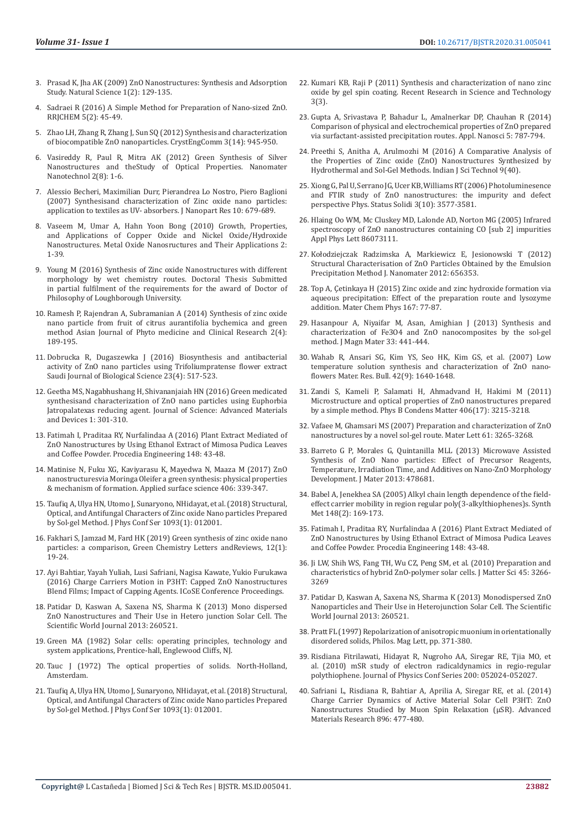- 3. [Prasad K, Jha AK \(2009\) ZnO Nanostructures: Synthesis and Adsorption](https://pdfs.semanticscholar.org/a34c/a0fb2c5c8f937fda559834e9b0c3166a37ba.pdf)  [Study. Natural Science 1\(2\): 129-135.](https://pdfs.semanticscholar.org/a34c/a0fb2c5c8f937fda559834e9b0c3166a37ba.pdf)
- 4. [Sadraei R \(2016\) A Simple Method for Preparation of Nano-sized ZnO.](https://www.researchgate.net/publication/308953404_A_Simple_Method_for_Preparation_of_Nano-sized_ZnO)  [RRJCHEM 5\(2\): 45-49.](https://www.researchgate.net/publication/308953404_A_Simple_Method_for_Preparation_of_Nano-sized_ZnO)
- 5. Zhao LH, Zhang R, Zhang J, Sun SQ (2012) Synthesis and characterization of biocompatible ZnO nanoparticles. CrystEngComm 3(14): 945-950.
- 6. [Vasireddy R, Paul R, Mitra AK \(2012\) Green Synthesis of Silver](https://journals.sagepub.com/doi/pdf/10.5772/52329)  [Nanostructures and theStudy of Optical Properties. Nanomater](https://journals.sagepub.com/doi/pdf/10.5772/52329)  [Nanotechnol 2\(8\): 1-6.](https://journals.sagepub.com/doi/pdf/10.5772/52329)
- 7. [Alessio Becheri, Maximilian Durr, Pierandrea Lo Nostro, Piero Baglioni](https://link.springer.com/article/10.1007/s11051-007-9318-3)  [\(2007\) Synthesisand characterization of Zinc oxide nano particles:](https://link.springer.com/article/10.1007/s11051-007-9318-3)  [application to textiles as UV- absorbers. J Nanopart Res 10: 679-689.](https://link.springer.com/article/10.1007/s11051-007-9318-3)
- 8. [Vaseem M, Umar A, Hahn Yoon Bong \(2010\) Growth, Properties,](https://www.researchgate.net/publication/235898761_Growth_Properties_and_Applications_of_Copper_Oxide_and_Nickel_OxideHydroxide_Nanostructures)  [and Applications of Copper Oxide and Nickel Oxide/Hydroxide](https://www.researchgate.net/publication/235898761_Growth_Properties_and_Applications_of_Copper_Oxide_and_Nickel_OxideHydroxide_Nanostructures)  [Nanostructures. Metal Oxide Nanosructures and Their Applications 2:](https://www.researchgate.net/publication/235898761_Growth_Properties_and_Applications_of_Copper_Oxide_and_Nickel_OxideHydroxide_Nanostructures)  [1-39.](https://www.researchgate.net/publication/235898761_Growth_Properties_and_Applications_of_Copper_Oxide_and_Nickel_OxideHydroxide_Nanostructures)
- 9. [Young M \(2016\) Synthesis of Zinc oxide Nanostructures with different](https://repository.lboro.ac.uk/articles/Synthesis_of_zinc_oxide_nanoparticles_with_different_morphologies_by_wet_chemistry_routes/9230594)  [morphology by wet chemistry routes. Doctoral Thesis Submitted](https://repository.lboro.ac.uk/articles/Synthesis_of_zinc_oxide_nanoparticles_with_different_morphologies_by_wet_chemistry_routes/9230594)  [in partial fulfilment of the requirements for the award of Doctor of](https://repository.lboro.ac.uk/articles/Synthesis_of_zinc_oxide_nanoparticles_with_different_morphologies_by_wet_chemistry_routes/9230594)  [Philosophy of Loughborough University.](https://repository.lboro.ac.uk/articles/Synthesis_of_zinc_oxide_nanoparticles_with_different_morphologies_by_wet_chemistry_routes/9230594)
- 10. [Ramesh P, Rajendran A, Subramanian A \(2014\) Synthesis of zinc oxide](http://ajpcrjournal.com/article/SYNTHESIS%20OF%20ZINC%20OXIDE_NANOPARTICLE%20FROM%20FRUIT%20OF%20CITRUS%20AURANTIFOLIA_BY%20CHEMICAL%20ANDGREEN%20METHOD.pdf)  [nano particle from fruit of citrus aurantifolia bychemica and green](http://ajpcrjournal.com/article/SYNTHESIS%20OF%20ZINC%20OXIDE_NANOPARTICLE%20FROM%20FRUIT%20OF%20CITRUS%20AURANTIFOLIA_BY%20CHEMICAL%20ANDGREEN%20METHOD.pdf)  [method Asian Journal of Phyto medicine and Clinical Research 2\(4\):](http://ajpcrjournal.com/article/SYNTHESIS%20OF%20ZINC%20OXIDE_NANOPARTICLE%20FROM%20FRUIT%20OF%20CITRUS%20AURANTIFOLIA_BY%20CHEMICAL%20ANDGREEN%20METHOD.pdf)  [189-195.](http://ajpcrjournal.com/article/SYNTHESIS%20OF%20ZINC%20OXIDE_NANOPARTICLE%20FROM%20FRUIT%20OF%20CITRUS%20AURANTIFOLIA_BY%20CHEMICAL%20ANDGREEN%20METHOD.pdf)
- 11. [Dobrucka R, Dugaszewka J \(2016\) Biosynthesis and antibacterial](https://www.sciencedirect.com/science/article/pii/S1319562X1500131X)  [activity of ZnO nano particles using Trifoliumpratense flower extract](https://www.sciencedirect.com/science/article/pii/S1319562X1500131X)  [Saudi Journal of Biological Science 23\(4\): 517-523.](https://www.sciencedirect.com/science/article/pii/S1319562X1500131X)
- 12. [Geetha MS, Nagabhushang H, Shivananjaiah HN \(2016\) Green medicated](https://core.ac.uk/download/pdf/82727333.pdf)  [synthesisand characterization of ZnO nano particles using Euphorbia](https://core.ac.uk/download/pdf/82727333.pdf)  [Jatropalatexas reducing agent. Journal of Science: Advanced Materials](https://core.ac.uk/download/pdf/82727333.pdf)  [and Devices 1: 301-310.](https://core.ac.uk/download/pdf/82727333.pdf)
- 13. [Fatimah I, Praditaa RY, Nurfalindaa A \(2016\) Plant Extract Mediated of](https://core.ac.uk/download/pdf/82092049.pdf)  [ZnO Nanostructures by Using Ethanol Extract of Mimosa Pudica Leaves](https://core.ac.uk/download/pdf/82092049.pdf)  [and Coffee Powder. Procedia Engineering 148: 43-48.](https://core.ac.uk/download/pdf/82092049.pdf)
- 14. [Matinise N, Fuku XG, Kaviyarasu K, Mayedwa N, Maaza M \(2017\) ZnO](https://inis.iaea.org/search/search.aspx?orig_q=RN:48078072)  [nanostructuresvia Moringa Oleifer a green synthesis: physical properties](https://inis.iaea.org/search/search.aspx?orig_q=RN:48078072)  [& mechanism of formation. Applied surface science 406: 339-347.](https://inis.iaea.org/search/search.aspx?orig_q=RN:48078072)
- 15. [Taufiq A, Ulya HN, Utomo J, Sunaryono, NHidayat, et al. \(2018\) Structural,](https://iopscience.iop.org/article/10.1088/1742-6596/1093/1/012001)  [Optical, and Antifungal Characters of Zinc oxide Nano particles Prepared](https://iopscience.iop.org/article/10.1088/1742-6596/1093/1/012001)  [by Sol-gel Method. J Phys Conf Ser 1093\(1\): 012001.](https://iopscience.iop.org/article/10.1088/1742-6596/1093/1/012001)
- 16. [Fakhari S, Jamzad M, Fard HK \(2019\) Green synthesis of zinc oxide nano](https://www.tandfonline.com/doi/full/10.1080/17518253.2018.1547925)  [particles: a comparison, Green Chemistry Letters andReviews, 12\(1\):](https://www.tandfonline.com/doi/full/10.1080/17518253.2018.1547925)  [19-24.](https://www.tandfonline.com/doi/full/10.1080/17518253.2018.1547925)
- 17. Ayi Bahtiar, Yayah Yuliah, Lusi Safriani, Nagisa Kawate, Yukio Furukawa (2016) Charge Carriers Motion in P3HT: Capped ZnO Nanostructures Blend Films; Impact of Capping Agents. ICoSE Conference Proceedings.
- 18. [Patidar D, Kaswan A, Saxena NS, Sharma K \(2013\) Mono dispersed](https://www.hindawi.com/journals/tswj/2013/260521/)  [ZnO Nanostructures and Their Use in Hetero junction Solar Cell. The](https://www.hindawi.com/journals/tswj/2013/260521/)  [Scientific World Journal 2013: 260521.](https://www.hindawi.com/journals/tswj/2013/260521/)
- 19. [Green MA \(1982\) Solar cells: operating principles, technology and](https://catalogue.nla.gov.au/Record/1555330)  [system applications, Prentice-hall, Englewood Cliffs, NJ.](https://catalogue.nla.gov.au/Record/1555330)
- 20. [Tauc J \(1972\) The optical properties of solids. North-Holland,](https://www.scirp.org/(S(i43dyn45teexjx455qlt3d2q))/reference/ReferencesPapers.aspx?ReferenceID=768456)  [Amsterdam.](https://www.scirp.org/(S(i43dyn45teexjx455qlt3d2q))/reference/ReferencesPapers.aspx?ReferenceID=768456)
- 21. [Taufiq A, Ulya HN, Utomo J, Sunaryono, NHidayat, et al. \(2018\) Structural,](https://ui.adsabs.harvard.edu/abs/2018JPhCS1093a2001T/abstract)  [Optical, and Antifungal Characters of Zinc oxide Nano particles Prepared](https://ui.adsabs.harvard.edu/abs/2018JPhCS1093a2001T/abstract)  [by Sol-gel Method. J Phys Conf Ser 1093\(1\): 012001.](https://ui.adsabs.harvard.edu/abs/2018JPhCS1093a2001T/abstract)
- 22. [Kumari KB, Raji P \(2011\) Synthesis and characterization of nano zinc](http://updatepublishing.com/journal/index.php/rrst/article/view/644) [oxide by gel spin coating. Recent Research in Science and Technology](http://updatepublishing.com/journal/index.php/rrst/article/view/644) [3\(3\).](http://updatepublishing.com/journal/index.php/rrst/article/view/644)
- 23. [Gupta A, Srivastava P, Bahadur L, Amalnerkar DP, Chauhan R \(2014\)](https://link.springer.com/article/10.1007/s13204-014-0379-1) [Comparison of physical and electrochemical properties of ZnO prepared](https://link.springer.com/article/10.1007/s13204-014-0379-1) [via surfactant-assisted precipitation routes. Appl. Nanosci 5: 787-794.](https://link.springer.com/article/10.1007/s13204-014-0379-1)
- 24. [Preethi S, Anitha A, Arulmozhi M \(2016\) A Comparative Analysis of](https://www.researchgate.net/publication/309821549_A_Comparative_Analysis_of_the_Properties_of_Zinc_Oxide_ZnO_Nanoparticles_Synthesized_by_Hydrothermal_and_Sol-Gel_Methods) [the Properties of Zinc oxide \(ZnO\) Nanostructures Synthesized by](https://www.researchgate.net/publication/309821549_A_Comparative_Analysis_of_the_Properties_of_Zinc_Oxide_ZnO_Nanoparticles_Synthesized_by_Hydrothermal_and_Sol-Gel_Methods) [Hydrothermal and Sol-Gel Methods. Indian J Sci Technol 9\(40\).](https://www.researchgate.net/publication/309821549_A_Comparative_Analysis_of_the_Properties_of_Zinc_Oxide_ZnO_Nanoparticles_Synthesized_by_Hydrothermal_and_Sol-Gel_Methods)
- 25. [Xiong G, Pal U, Serrano JG, Ucer KB, Williams RT \(2006\) Photoluminesence](http://www.ifuap.buap.mx/~upal/assets/107.pdf) [and FTIR study of ZnO nanostructures: the impurity and defect](http://www.ifuap.buap.mx/~upal/assets/107.pdf) [perspective Phys. Status Solidi 3\(10\): 3577-3581.](http://www.ifuap.buap.mx/~upal/assets/107.pdf)
- 26. Hlaing Oo WM, Mc Cluskey MD, Lalonde AD, Norton MG (2005) Infrared spectroscopy of ZnO nanostructures containing CO [sub 2] impurities Appl Phys Lett 86073111.
- 27. [Kołodziejczak Radzimska A, Markiewicz E, Jesionowski T \(2012\)](https://www.hindawi.com/journals/jnm/2012/656353/) [Structural Characterisation of ZnO Particles Obtained by the Emulsion](https://www.hindawi.com/journals/jnm/2012/656353/) [Precipitation Method J. Nanomater 2012: 656353.](https://www.hindawi.com/journals/jnm/2012/656353/)
- 28. [Top A, Çetinkaya H \(2015\) Zinc oxide and zinc hydroxide formation via](https://www.sciencedirect.com/science/article/abs/pii/S0254058415303825?via%3Dihub) [aqueous precipitation: Effect of the preparation route and lysozyme](https://www.sciencedirect.com/science/article/abs/pii/S0254058415303825?via%3Dihub) [addition. Mater Chem Phys 167: 77-87.](https://www.sciencedirect.com/science/article/abs/pii/S0254058415303825?via%3Dihub)
- 29. Hasanpour A, Niyaifar M, Asan, Amighian J (2013) Synthesis and characterization of Fe3O4 and ZnO nanocomposites by the sol-gel method. J Magn Mater 33: 441-444.
- 30. [Wahab R, Ansari SG, Kim YS, Seo HK, Kim GS, et al. \(2007\) Low](https://www.researchgate.net/publication/222540359_Low_Temperature_Solution_Synthesis_and_Characterization_of_ZnO_Nano-Flowers) [temperature solution synthesis and characterization of ZnO nano](https://www.researchgate.net/publication/222540359_Low_Temperature_Solution_Synthesis_and_Characterization_of_ZnO_Nano-Flowers)[flowers Mater. Res. Bull. 42\(9\): 1640-1648.](https://www.researchgate.net/publication/222540359_Low_Temperature_Solution_Synthesis_and_Characterization_of_ZnO_Nano-Flowers)
- 31. [Zandi S, Kameli P, Salamati H, Ahmadvand H, Hakimi M \(2011\)](https://ui.adsabs.harvard.edu/abs/2011PhyB..406.3215Z/abstract) [Microstructure and optical properties of ZnO nanostructures prepared](https://ui.adsabs.harvard.edu/abs/2011PhyB..406.3215Z/abstract) [by a simple method. Phys B Condens Matter 406\(17\): 3215-3218.](https://ui.adsabs.harvard.edu/abs/2011PhyB..406.3215Z/abstract)
- 32. [Vafaee M, Ghamsari MS \(2007\) Preparation and characterization of ZnO](https://www.academia.edu/26662349/Preparation_and_characterization_of_ZnO_nanoparticles_by_a_novel_sol_gel_route) [nanostructures by a novel sol-gel route. Mater Lett 61: 3265-3268.](https://www.academia.edu/26662349/Preparation_and_characterization_of_ZnO_nanoparticles_by_a_novel_sol_gel_route)
- 33. [Barreto G P, Morales G, Quintanilla MLL \(2013\) Microwave Assisted](https://www.hindawi.com/journals/jma/2013/478681/) [Synthesis of ZnO Nano particles: Effect of Precursor Reagents,](https://www.hindawi.com/journals/jma/2013/478681/) [Temperature, Irradiation Time, and Additives on Nano-ZnO Morphology](https://www.hindawi.com/journals/jma/2013/478681/) [Development. J Mater 2013: 478681.](https://www.hindawi.com/journals/jma/2013/478681/)
- 34. [Babel A, Jenekhea SA \(2005\) Alkyl chain length dependence of the field](https://www.researchgate.net/publication/232397572_Alkyl_chain_length_dependence_of_the_field-effect_carrier_mobility_in_regioregular_poly3-alkylthiophenes)[effect carrier mobility in region regular poly\(3-alkylthiophenes\)s. Synth](https://www.researchgate.net/publication/232397572_Alkyl_chain_length_dependence_of_the_field-effect_carrier_mobility_in_regioregular_poly3-alkylthiophenes) [Met 148\(2\): 169-173.](https://www.researchgate.net/publication/232397572_Alkyl_chain_length_dependence_of_the_field-effect_carrier_mobility_in_regioregular_poly3-alkylthiophenes)
- 35. [Fatimah I, Praditaa RY, Nurfalindaa A \(2016\) Plant Extract Mediated of](https://core.ac.uk/download/pdf/82092049.pdf) [ZnO Nanostructures by Using Ethanol Extract of Mimosa Pudica Leaves](https://core.ac.uk/download/pdf/82092049.pdf) [and Coffee Powder. Procedia Engineering 148: 43-48.](https://core.ac.uk/download/pdf/82092049.pdf)
- 36. [Ji LW, Shih WS, Fang TH, Wu CZ, Peng SM, et al. \(2010\) Preparation and](https://link.springer.com/article/10.1007/s10853-010-4336-4) [characteristics of hybrid ZnO-polymer solar cells. J Matter Sci 45: 3266-](https://link.springer.com/article/10.1007/s10853-010-4336-4) [3269](https://link.springer.com/article/10.1007/s10853-010-4336-4)
- 37. [Patidar D, Kaswan A, Saxena NS, Sharma K \(2013\) Monodispersed ZnO](https://www.hindawi.com/journals/tswj/2013/260521/) [Nanoparticles and Their Use in Heterojunction Solar Cell. The Scientific](https://www.hindawi.com/journals/tswj/2013/260521/) [World Journal 2013: 260521.](https://www.hindawi.com/journals/tswj/2013/260521/)
- 38. Pratt FL (1997) Repolarization of anisotropic muonium in orientationally disordered solids, Philos. Mag Lett, pp. 371-380.
- 39. Risdiana Fitrilawati, Hidayat R, Nugroho AA, Siregar RE, Tjia MO, et al. (2010) mSR study of electron radicaldynamics in regio-regular polythiophene. Journal of Physics Conf Series 200: 052024-052027.
- 40. [Safriani L, Risdiana R, Bahtiar A, Aprilia A, Siregar RE, et al. \(2014\)](https://www.researchgate.net/publication/260107207_Charge_Carrier_Dynamics_of_Active_Material_Solar_Cell_P3HTZnO_Nanoparticles_Studied_by_Muon_Spin_Relaxation_mSR) [Charge Carrier Dynamics of Active Material Solar Cell P3HT: ZnO](https://www.researchgate.net/publication/260107207_Charge_Carrier_Dynamics_of_Active_Material_Solar_Cell_P3HTZnO_Nanoparticles_Studied_by_Muon_Spin_Relaxation_mSR) [Nanostructures Studied by Muon Spin Relaxation \(μSR\). Advanced](https://www.researchgate.net/publication/260107207_Charge_Carrier_Dynamics_of_Active_Material_Solar_Cell_P3HTZnO_Nanoparticles_Studied_by_Muon_Spin_Relaxation_mSR) [Materials Research 896: 477-480.](https://www.researchgate.net/publication/260107207_Charge_Carrier_Dynamics_of_Active_Material_Solar_Cell_P3HTZnO_Nanoparticles_Studied_by_Muon_Spin_Relaxation_mSR)